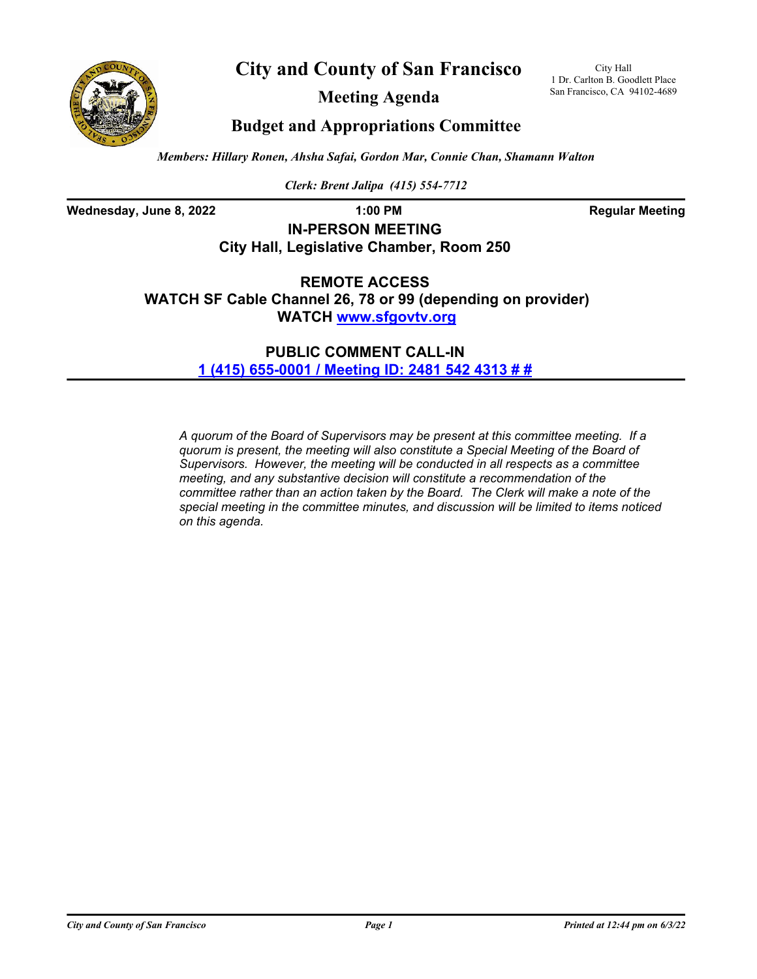



**Meeting Agenda**

City Hall 1 Dr. Carlton B. Goodlett Place San Francisco, CA 94102-4689

## **Budget and Appropriations Committee**

*Members: Hillary Ronen, Ahsha Safai, Gordon Mar, Connie Chan, Shamann Walton*

*Clerk: Brent Jalipa (415) 554-7712*

**Wednesday, June 8, 2022 1:00 PM 1:00 PM Regular Meeting** 

## **IN-PERSON MEETING City Hall, Legislative Chamber, Room 250**

**REMOTE ACCESS WATCH SF Cable Channel 26, 78 or 99 (depending on provider) WATCH<www.sfgovtv.org>**

> **PUBLIC COMMENT CALL-IN [1 \(415\) 655-0001 / Meeting ID: 2481 542 4313 # #](tel:+14156550001,,24815424313#,,#)**

*A quorum of the Board of Supervisors may be present at this committee meeting. If a quorum is present, the meeting will also constitute a Special Meeting of the Board of Supervisors. However, the meeting will be conducted in all respects as a committee meeting, and any substantive decision will constitute a recommendation of the committee rather than an action taken by the Board. The Clerk will make a note of the special meeting in the committee minutes, and discussion will be limited to items noticed on this agenda.*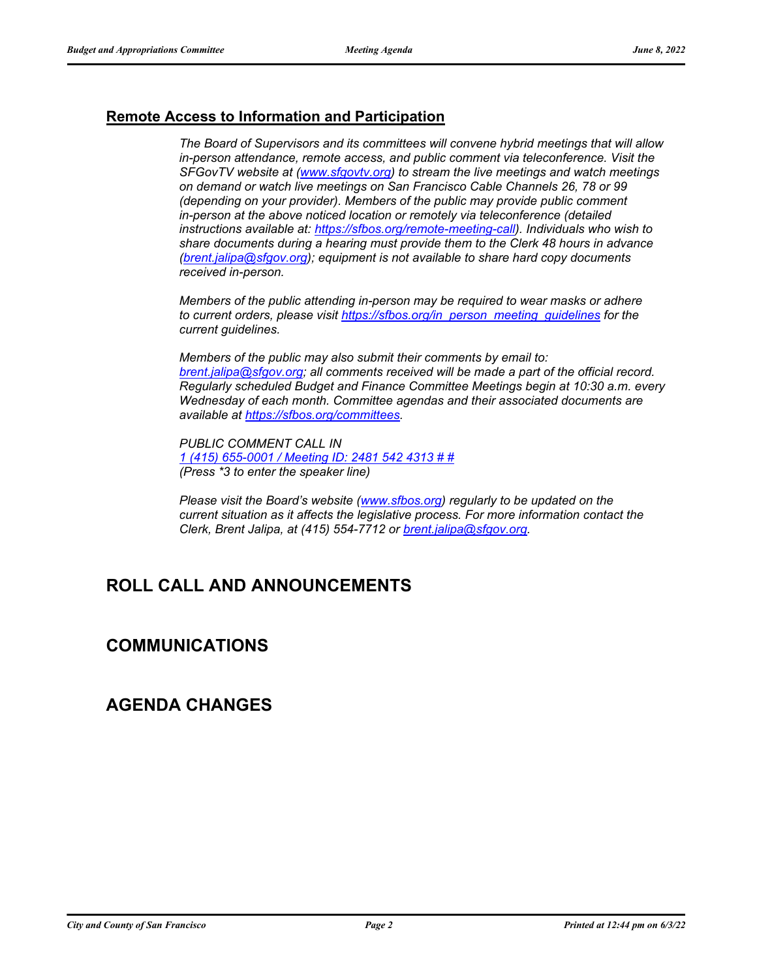### **Remote Access to Information and Participation**

*The Board of Supervisors and its committees will convene hybrid meetings that will allow in-person attendance, remote access, and public comment via teleconference. Visit the SFGovTV website at [\(www.sfgovtv.org\)](www.sfgovtv.org) to stream the live meetings and watch meetings on demand or watch live meetings on San Francisco Cable Channels 26, 78 or 99 (depending on your provider). Members of the public may provide public comment in-person at the above noticed location or remotely via teleconference (detailed instructions available at: [https://sfbos.org/remote-meeting-call\)](https://sfbos.org/remote-meeting-call). Individuals who wish to share documents during a hearing must provide them to the Clerk 48 hours in advance [\(brent.jalipa@sfgov.org\)](mailto:brent.jalipa@sfgov.org); equipment is not available to share hard copy documents received in-person.*

*Members of the public attending in-person may be required to wear masks or adhere to current orders, please visit [https://sfbos.org/in\\_person\\_meeting\\_guidelines](https://sfbos.org/in_person_meeting_guidelines) for the current guidelines.*

*Members of the public may also submit their comments by email to: [brent.jalipa@sfgov.org; a](mailto:brent.jalipa@sfgov.org)ll comments received will be made a part of the official record. Regularly scheduled Budget and Finance Committee Meetings begin at 10:30 a.m. every Wednesday of each month. Committee agendas and their associated documents are available at [https://sfbos.org/committees.](https://sfbos.org/committees)*

*PUBLIC COMMENT CALL IN [1 \(415\) 655-0001 / Meeting ID: 2481 542 4313 # #](tel:+14156550001,,24815424313#,,#) (Press \*3 to enter the speaker line)*

*Please visit the Board's website [\(www.sfbos.org\)](www.sfbos.org) regularly to be updated on the current situation as it affects the legislative process. For more information contact the Clerk, Brent Jalipa, at (415) 554-7712 or [brent.jalipa@sfgov.org.](mailto:brent.jalipa@sfgov.org)*

# **ROLL CALL AND ANNOUNCEMENTS**

### **COMMUNICATIONS**

### **AGENDA CHANGES**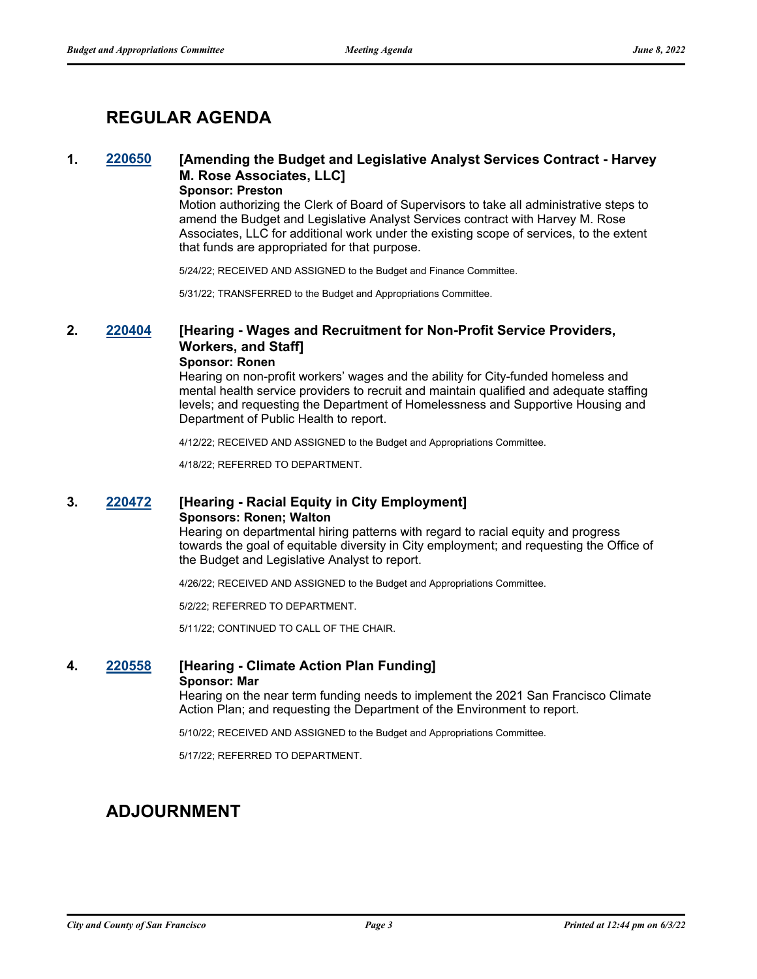# **REGULAR AGENDA**

### **1. [220650](http://sfgov.legistar.com/gateway.aspx?m=l&id=38842) [Amending the Budget and Legislative Analyst Services Contract - Harvey M. Rose Associates, LLC]**

### **Sponsor: Preston**

Motion authorizing the Clerk of Board of Supervisors to take all administrative steps to amend the Budget and Legislative Analyst Services contract with Harvey M. Rose Associates, LLC for additional work under the existing scope of services, to the extent that funds are appropriated for that purpose.

5/24/22; RECEIVED AND ASSIGNED to the Budget and Finance Committee.

5/31/22; TRANSFERRED to the Budget and Appropriations Committee.

### **2. [220404](http://sfgov.legistar.com/gateway.aspx?m=l&id=38596) [Hearing - Wages and Recruitment for Non-Profit Service Providers, Workers, and Staff] Sponsor: Ronen**

Hearing on non-profit workers' wages and the ability for City-funded homeless and mental health service providers to recruit and maintain qualified and adequate staffing levels; and requesting the Department of Homelessness and Supportive Housing and Department of Public Health to report.

4/12/22; RECEIVED AND ASSIGNED to the Budget and Appropriations Committee.

4/18/22; REFERRED TO DEPARTMENT.

#### **3. [220472](http://sfgov.legistar.com/gateway.aspx?m=l&id=38664) [Hearing - Racial Equity in City Employment] Sponsors: Ronen; Walton**

Hearing on departmental hiring patterns with regard to racial equity and progress towards the goal of equitable diversity in City employment; and requesting the Office of the Budget and Legislative Analyst to report.

4/26/22; RECEIVED AND ASSIGNED to the Budget and Appropriations Committee.

5/2/22; REFERRED TO DEPARTMENT.

5/11/22; CONTINUED TO CALL OF THE CHAIR.

#### **4. [220558](http://sfgov.legistar.com/gateway.aspx?m=l&id=38750) [Hearing - Climate Action Plan Funding] Sponsor: Mar**

Hearing on the near term funding needs to implement the 2021 San Francisco Climate Action Plan; and requesting the Department of the Environment to report.

5/10/22; RECEIVED AND ASSIGNED to the Budget and Appropriations Committee.

5/17/22; REFERRED TO DEPARTMENT.

# **ADJOURNMENT**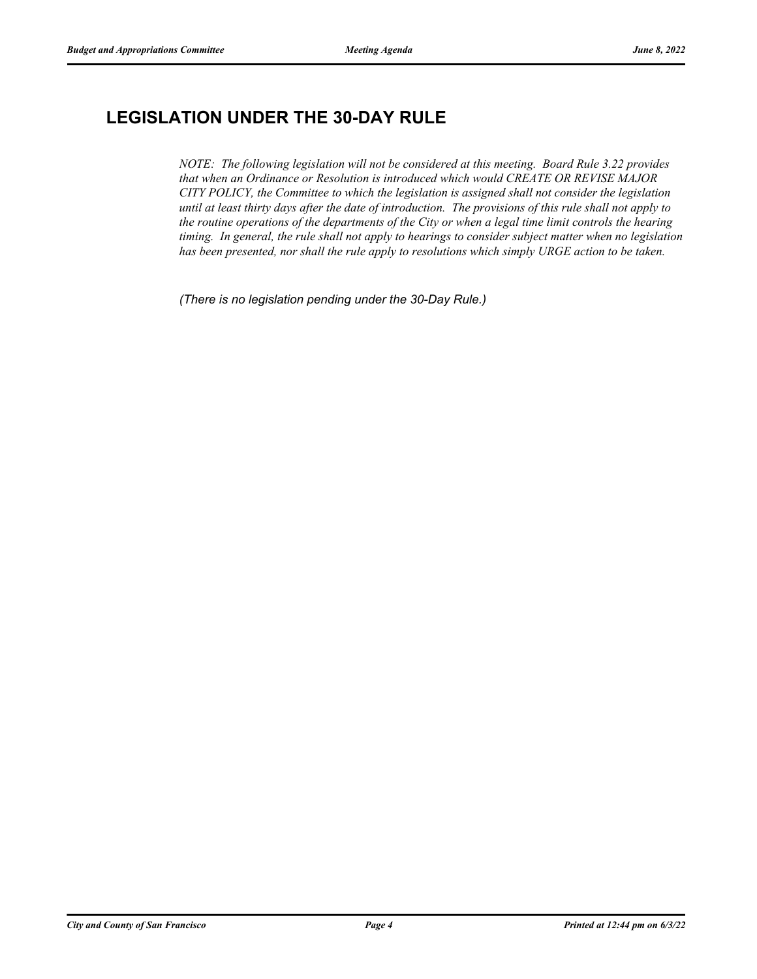# **LEGISLATION UNDER THE 30-DAY RULE**

*NOTE: The following legislation will not be considered at this meeting. Board Rule 3.22 provides that when an Ordinance or Resolution is introduced which would CREATE OR REVISE MAJOR CITY POLICY, the Committee to which the legislation is assigned shall not consider the legislation until at least thirty days after the date of introduction. The provisions of this rule shall not apply to the routine operations of the departments of the City or when a legal time limit controls the hearing timing. In general, the rule shall not apply to hearings to consider subject matter when no legislation has been presented, nor shall the rule apply to resolutions which simply URGE action to be taken.*

*(There is no legislation pending under the 30-Day Rule.)*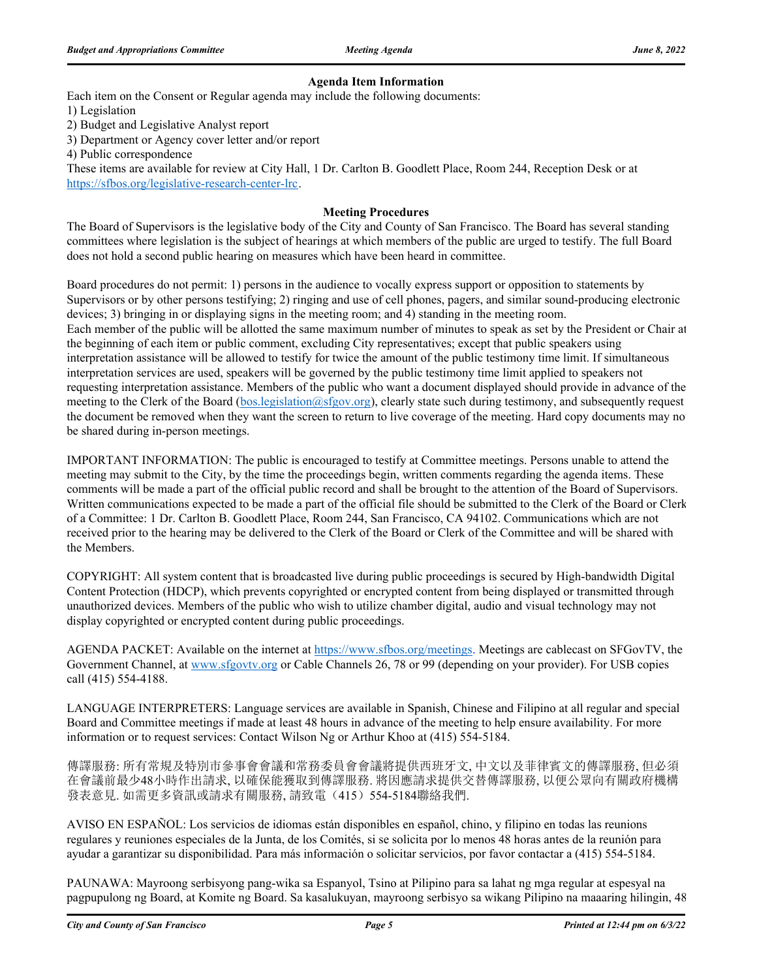#### **Agenda Item Information**

Each item on the Consent or Regular agenda may include the following documents:

1) Legislation

2) Budget and Legislative Analyst report

3) Department or Agency cover letter and/or report

4) Public correspondence

These items are available for review at City Hall, 1 Dr. Carlton B. Goodlett Place, Room 244, Reception Desk or at https://sfbos.org/legislative-research-center-lrc.

#### **Meeting Procedures**

The Board of Supervisors is the legislative body of the City and County of San Francisco. The Board has several standing committees where legislation is the subject of hearings at which members of the public are urged to testify. The full Board does not hold a second public hearing on measures which have been heard in committee.

Board procedures do not permit: 1) persons in the audience to vocally express support or opposition to statements by Supervisors or by other persons testifying; 2) ringing and use of cell phones, pagers, and similar sound-producing electronic devices; 3) bringing in or displaying signs in the meeting room; and 4) standing in the meeting room. Each member of the public will be allotted the same maximum number of minutes to speak as set by the President or Chair at the beginning of each item or public comment, excluding City representatives; except that public speakers using interpretation assistance will be allowed to testify for twice the amount of the public testimony time limit. If simultaneous interpretation services are used, speakers will be governed by the public testimony time limit applied to speakers not requesting interpretation assistance. Members of the public who want a document displayed should provide in advance of the meeting to the Clerk of the Board (bos.legislation@sfgov.org), clearly state such during testimony, and subsequently request the document be removed when they want the screen to return to live coverage of the meeting. Hard copy documents may no be shared during in-person meetings.

IMPORTANT INFORMATION: The public is encouraged to testify at Committee meetings. Persons unable to attend the meeting may submit to the City, by the time the proceedings begin, written comments regarding the agenda items. These comments will be made a part of the official public record and shall be brought to the attention of the Board of Supervisors. Written communications expected to be made a part of the official file should be submitted to the Clerk of the Board or Clerk of a Committee: 1 Dr. Carlton B. Goodlett Place, Room 244, San Francisco, CA 94102. Communications which are not received prior to the hearing may be delivered to the Clerk of the Board or Clerk of the Committee and will be shared with the Members.

COPYRIGHT: All system content that is broadcasted live during public proceedings is secured by High-bandwidth Digital Content Protection (HDCP), which prevents copyrighted or encrypted content from being displayed or transmitted through unauthorized devices. Members of the public who wish to utilize chamber digital, audio and visual technology may not display copyrighted or encrypted content during public proceedings.

AGENDA PACKET: Available on the internet at https://www.sfbos.org/meetings. Meetings are cablecast on SFGovTV, the Government Channel, at www.sfgovtv.org or Cable Channels 26, 78 or 99 (depending on your provider). For USB copies call (415) 554-4188.

LANGUAGE INTERPRETERS: Language services are available in Spanish, Chinese and Filipino at all regular and special Board and Committee meetings if made at least 48 hours in advance of the meeting to help ensure availability. For more information or to request services: Contact Wilson Ng or Arthur Khoo at (415) 554-5184.

傳譯服務: 所有常規及特別市參事會會議和常務委員會會議將提供西班牙文, 中文以及菲律賓文的傳譯服務, 但必須 在會議前最少48小時作出請求, 以確保能獲取到傳譯服務. 將因應請求提供交替傳譯服務, 以便公眾向有關政府機構 發表意見. 如需更多資訊或請求有關服務, 請致電(415)554-5184聯絡我們.

AVISO EN ESPAÑOL: Los servicios de idiomas están disponibles en español, chino, y filipino en todas las reunions regulares y reuniones especiales de la Junta, de los Comités, si se solicita por lo menos 48 horas antes de la reunión para ayudar a garantizar su disponibilidad. Para más información o solicitar servicios, por favor contactar a (415) 554-5184.

PAUNAWA: Mayroong serbisyong pang-wika sa Espanyol, Tsino at Pilipino para sa lahat ng mga regular at espesyal na pagpupulong ng Board, at Komite ng Board. Sa kasalukuyan, mayroong serbisyo sa wikang Pilipino na maaaring hilingin, 48